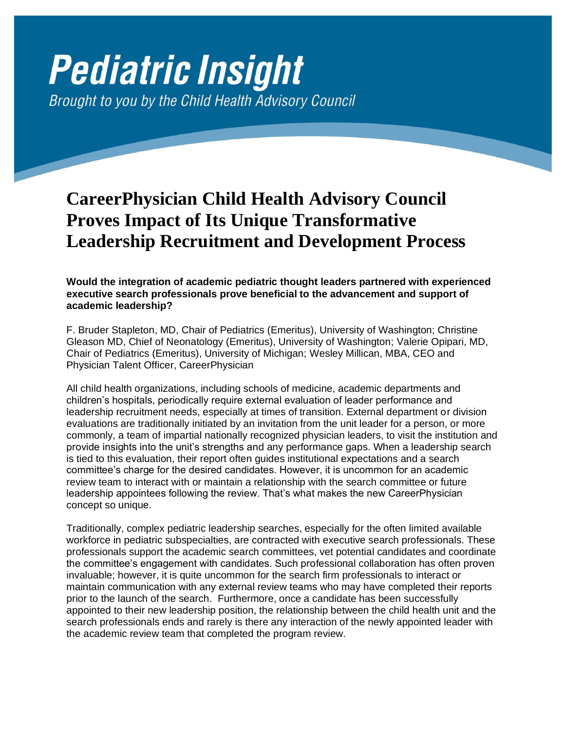## **Pediatric Insight** Brought to you by the Child Health Advisory Council

## **CareerPhysician Child Health Advisory Council Proves Impact of Its Unique Transformative Leadership Recruitment and Development Process**

**Would the integration of academic pediatric thought leaders partnered with experienced executive search professionals prove beneficial to the advancement and support of academic leadership?** 

F. Bruder Stapleton, MD, Chair of Pediatrics (Emeritus), University of Washington; Christine Gleason MD, Chief of Neonatology (Emeritus), University of Washington; Valerie Opipari, MD, Chair of Pediatrics (Emeritus), University of Michigan; Wesley Millican, MBA, CEO and Physician Talent Officer, CareerPhysician

All child health organizations, including schools of medicine, academic departments and children's hospitals, periodically require external evaluation of leader performance and leadership recruitment needs, especially at times of transition. External department or division evaluations are traditionally initiated by an invitation from the unit leader for a person, or more commonly, a team of impartial nationally recognized physician leaders, to visit the institution and provide insights into the unit's strengths and any performance gaps. When a leadership search is tied to this evaluation, their report often guides institutional expectations and a search committee's charge for the desired candidates. However, it is uncommon for an academic review team to interact with or maintain a relationship with the search committee or future leadership appointees following the review. That's what makes the new CareerPhysician concept so unique.

Traditionally, complex pediatric leadership searches, especially for the often limited available workforce in pediatric subspecialties, are contracted with executive search professionals. These professionals support the academic search committees, vet potential candidates and coordinate the committee's engagement with candidates. Such professional collaboration has often proven invaluable; however, it is quite uncommon for the search firm professionals to interact or maintain communication with any external review teams who may have completed their reports prior to the launch of the search. Furthermore, once a candidate has been successfully appointed to their new leadership position, the relationship between the child health unit and the search professionals ends and rarely is there any interaction of the newly appointed leader with the academic review team that completed the program review.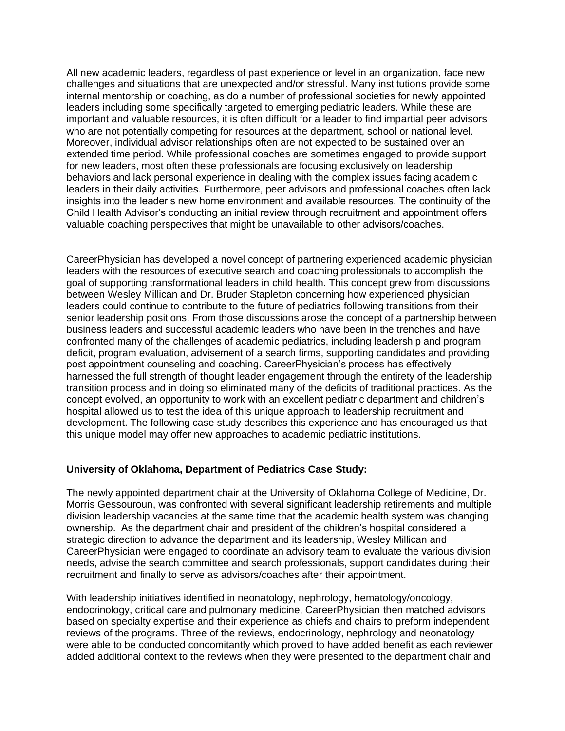All new academic leaders, regardless of past experience or level in an organization, face new challenges and situations that are unexpected and/or stressful. Many institutions provide some internal mentorship or coaching, as do a number of professional societies for newly appointed leaders including some specifically targeted to emerging pediatric leaders. While these are important and valuable resources, it is often difficult for a leader to find impartial peer advisors who are not potentially competing for resources at the department, school or national level. Moreover, individual advisor relationships often are not expected to be sustained over an extended time period. While professional coaches are sometimes engaged to provide support for new leaders, most often these professionals are focusing exclusively on leadership behaviors and lack personal experience in dealing with the complex issues facing academic leaders in their daily activities. Furthermore, peer advisors and professional coaches often lack insights into the leader's new home environment and available resources. The continuity of the Child Health Advisor's conducting an initial review through recruitment and appointment offers valuable coaching perspectives that might be unavailable to other advisors/coaches.

CareerPhysician has developed a novel concept of partnering experienced academic physician leaders with the resources of executive search and coaching professionals to accomplish the goal of supporting transformational leaders in child health. This concept grew from discussions between Wesley Millican and Dr. Bruder Stapleton concerning how experienced physician leaders could continue to contribute to the future of pediatrics following transitions from their senior leadership positions. From those discussions arose the concept of a partnership between business leaders and successful academic leaders who have been in the trenches and have confronted many of the challenges of academic pediatrics, including leadership and program deficit, program evaluation, advisement of a search firms, supporting candidates and providing post appointment counseling and coaching. CareerPhysician's process has effectively harnessed the full strength of thought leader engagement through the entirety of the leadership transition process and in doing so eliminated many of the deficits of traditional practices. As the concept evolved, an opportunity to work with an excellent pediatric department and children's hospital allowed us to test the idea of this unique approach to leadership recruitment and development. The following case study describes this experience and has encouraged us that this unique model may offer new approaches to academic pediatric institutions.

## **University of Oklahoma, Department of Pediatrics Case Study:**

The newly appointed department chair at the University of Oklahoma College of Medicine, Dr. Morris Gessouroun, was confronted with several significant leadership retirements and multiple division leadership vacancies at the same time that the academic health system was changing ownership. As the department chair and president of the children's hospital considered a strategic direction to advance the department and its leadership, Wesley Millican and CareerPhysician were engaged to coordinate an advisory team to evaluate the various division needs, advise the search committee and search professionals, support candidates during their recruitment and finally to serve as advisors/coaches after their appointment.

With leadership initiatives identified in neonatology, nephrology, hematology/oncology, endocrinology, critical care and pulmonary medicine, CareerPhysician then matched advisors based on specialty expertise and their experience as chiefs and chairs to preform independent reviews of the programs. Three of the reviews, endocrinology, nephrology and neonatology were able to be conducted concomitantly which proved to have added benefit as each reviewer added additional context to the reviews when they were presented to the department chair and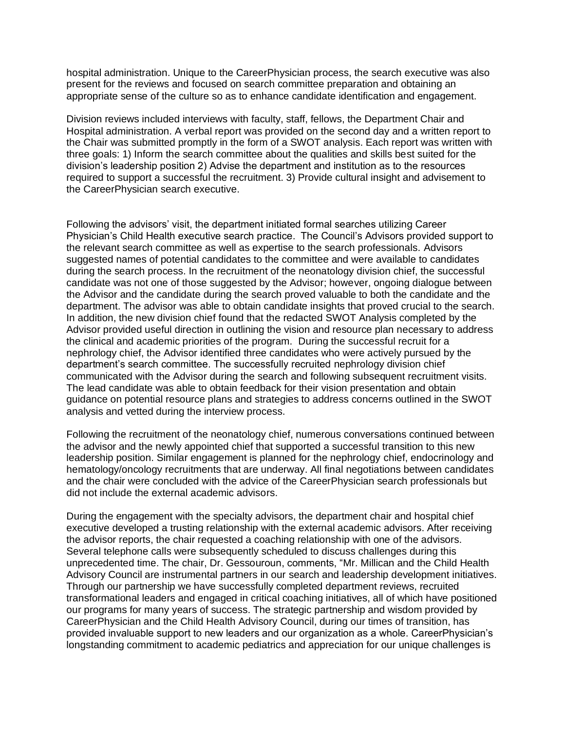hospital administration. Unique to the CareerPhysician process, the search executive was also present for the reviews and focused on search committee preparation and obtaining an appropriate sense of the culture so as to enhance candidate identification and engagement.

Division reviews included interviews with faculty, staff, fellows, the Department Chair and Hospital administration. A verbal report was provided on the second day and a written report to the Chair was submitted promptly in the form of a SWOT analysis. Each report was written with three goals: 1) Inform the search committee about the qualities and skills best suited for the division's leadership position 2) Advise the department and institution as to the resources required to support a successful the recruitment. 3) Provide cultural insight and advisement to the CareerPhysician search executive.

Following the advisors' visit, the department initiated formal searches utilizing Career Physician's Child Health executive search practice. The Council's Advisors provided support to the relevant search committee as well as expertise to the search professionals. Advisors suggested names of potential candidates to the committee and were available to candidates during the search process. In the recruitment of the neonatology division chief, the successful candidate was not one of those suggested by the Advisor; however, ongoing dialogue between the Advisor and the candidate during the search proved valuable to both the candidate and the department. The advisor was able to obtain candidate insights that proved crucial to the search. In addition, the new division chief found that the redacted SWOT Analysis completed by the Advisor provided useful direction in outlining the vision and resource plan necessary to address the clinical and academic priorities of the program. During the successful recruit for a nephrology chief, the Advisor identified three candidates who were actively pursued by the department's search committee. The successfully recruited nephrology division chief communicated with the Advisor during the search and following subsequent recruitment visits. The lead candidate was able to obtain feedback for their vision presentation and obtain guidance on potential resource plans and strategies to address concerns outlined in the SWOT analysis and vetted during the interview process.

Following the recruitment of the neonatology chief, numerous conversations continued between the advisor and the newly appointed chief that supported a successful transition to this new leadership position. Similar engagement is planned for the nephrology chief, endocrinology and hematology/oncology recruitments that are underway. All final negotiations between candidates and the chair were concluded with the advice of the CareerPhysician search professionals but did not include the external academic advisors.

During the engagement with the specialty advisors, the department chair and hospital chief executive developed a trusting relationship with the external academic advisors. After receiving the advisor reports, the chair requested a coaching relationship with one of the advisors. Several telephone calls were subsequently scheduled to discuss challenges during this unprecedented time. The chair, Dr. Gessouroun, comments, "Mr. Millican and the Child Health Advisory Council are instrumental partners in our search and leadership development initiatives. Through our partnership we have successfully completed department reviews, recruited transformational leaders and engaged in critical coaching initiatives, all of which have positioned our programs for many years of success. The strategic partnership and wisdom provided by CareerPhysician and the Child Health Advisory Council, during our times of transition, has provided invaluable support to new leaders and our organization as a whole. CareerPhysician's longstanding commitment to academic pediatrics and appreciation for our unique challenges is